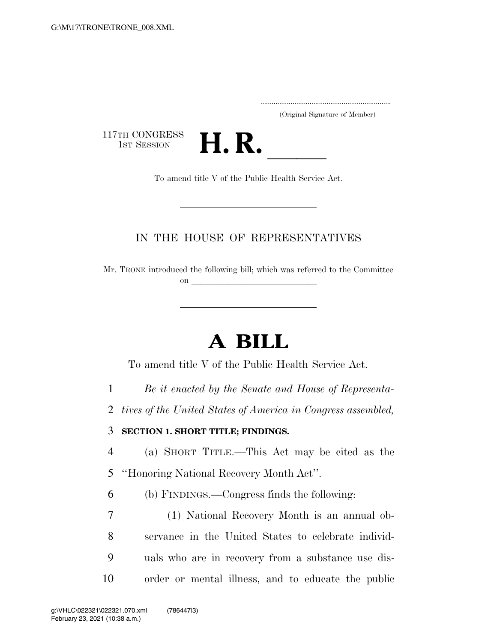(Original Signature of Member)

117TH CONGRESS<br>1st Session



## IN THE HOUSE OF REPRESENTATIVES

Mr. TRONE introduced the following bill; which was referred to the Committee on  $\overline{\qquad \qquad }$ 

# **A BILL**

To amend title V of the Public Health Service Act.

1 *Be it enacted by the Senate and House of Representa-*

2 *tives of the United States of America in Congress assembled,* 

#### 3 **SECTION 1. SHORT TITLE; FINDINGS.**

4 (a) SHORT TITLE.—This Act may be cited as the 5 ''Honoring National Recovery Month Act''.

6 (b) FINDINGS.—Congress finds the following:

 (1) National Recovery Month is an annual ob- servance in the United States to celebrate individ- uals who are in recovery from a substance use dis-order or mental illness, and to educate the public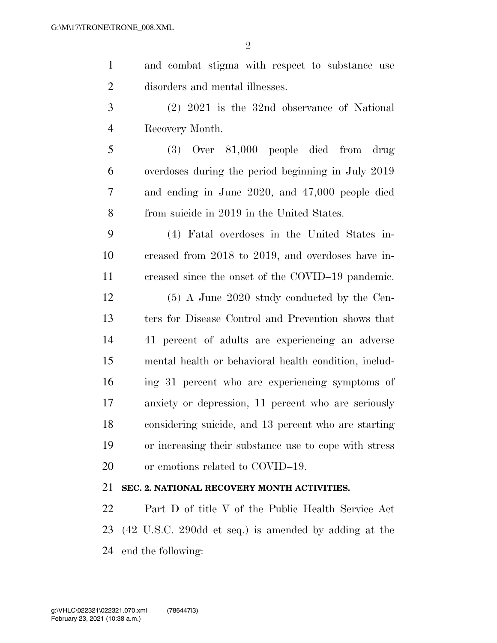$\Omega$ 

| $\mathbf{1}$   | and combat stigma with respect to substance use    |
|----------------|----------------------------------------------------|
| $\overline{2}$ | disorders and mental illnesses.                    |
| 3              | $(2)$ 2021 is the 32nd observance of National      |
| $\overline{4}$ | Recovery Month.                                    |
| 5              | $(3)$ Over $81,000$ people died from drug          |
| 6              | overdoses during the period beginning in July 2019 |
| 7              | and ending in June 2020, and 47,000 people died    |
| 8              | from suicide in 2019 in the United States.         |
| 9              | (4) Fatal overdoses in the United States in-       |
| 10             | creased from 2018 to 2019, and overdoses have in-  |
| 11             | creased since the onset of the COVID-19 pandemic.  |
| 12             | $(5)$ A June 2020 study conducted by the Cen-      |
| 13             | ters for Disease Control and Prevention shows that |
|                |                                                    |

 41 percent of adults are experiencing an adverse mental health or behavioral health condition, includ- ing 31 percent who are experiencing symptoms of anxiety or depression, 11 percent who are seriously considering suicide, and 13 percent who are starting or increasing their substance use to cope with stress 20 or emotions related to COVID–19.

### **SEC. 2. NATIONAL RECOVERY MONTH ACTIVITIES.**

 Part D of title V of the Public Health Service Act (42 U.S.C. 290dd et seq.) is amended by adding at the end the following: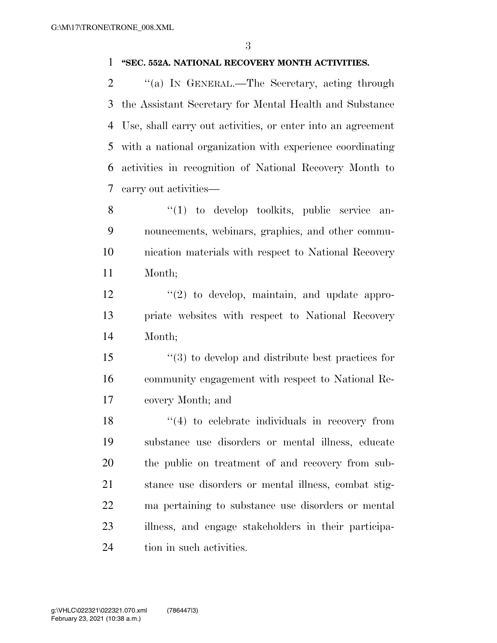#### **''SEC. 552A. NATIONAL RECOVERY MONTH ACTIVITIES.**

2 "(a) In GENERAL.—The Secretary, acting through the Assistant Secretary for Mental Health and Substance Use, shall carry out activities, or enter into an agreement with a national organization with experience coordinating activities in recognition of National Recovery Month to carry out activities—

8 "(1) to develop toolkits, public service an- nouncements, webinars, graphics, and other commu- nication materials with respect to National Recovery Month;

 $\frac{12}{2}$  ''(2) to develop, maintain, and update appro- priate websites with respect to National Recovery Month;

 ''(3) to develop and distribute best practices for community engagement with respect to National Re-covery Month; and

18 ''(4) to celebrate individuals in recovery from substance use disorders or mental illness, educate the public on treatment of and recovery from sub- stance use disorders or mental illness, combat stig- ma pertaining to substance use disorders or mental illness, and engage stakeholders in their participa-tion in such activities.